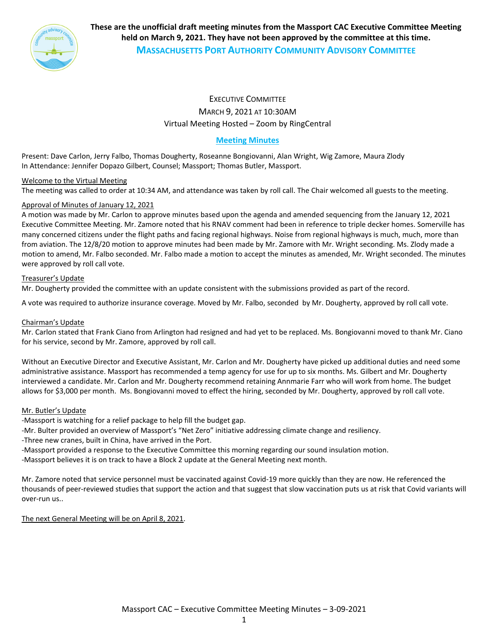

**These are the unofficial draft meeting minutes from the Massport CAC Executive Committee Meeting held on March 9, 2021. They have not been approved by the committee at this time. MASSACHUSETTS PORT AUTHORITY COMMUNITY ADVISORY COMMITTEE**

# EXECUTIVE COMMITTEE MARCH 9, 2021 AT 10:30AM Virtual Meeting Hosted – Zoom by RingCentral

# **Meeting Minutes**

Present: Dave Carlon, Jerry Falbo, Thomas Dougherty, Roseanne Bongiovanni, Alan Wright, Wig Zamore, Maura Zlody In Attendance: Jennifer Dopazo Gilbert, Counsel; Massport; Thomas Butler, Massport.

## Welcome to the Virtual Meeting

The meeting was called to order at 10:34 AM, and attendance was taken by roll call. The Chair welcomed all guests to the meeting.

#### Approval of Minutes of January 12, 2021

A motion was made by Mr. Carlon to approve minutes based upon the agenda and amended sequencing from the January 12, 2021 Executive Committee Meeting. Mr. Zamore noted that his RNAV comment had been in reference to triple decker homes. Somerville has many concerned citizens under the flight paths and facing regional highways. Noise from regional highways is much, much, more than from aviation. The 12/8/20 motion to approve minutes had been made by Mr. Zamore with Mr. Wright seconding. Ms. Zlody made a motion to amend, Mr. Falbo seconded. Mr. Falbo made a motion to accept the minutes as amended, Mr. Wright seconded. The minutes were approved by roll call vote.

#### Treasurer's Update

Mr. Dougherty provided the committee with an update consistent with the submissions provided as part of the record.

A vote was required to authorize insurance coverage. Moved by Mr. Falbo, seconded by Mr. Dougherty, approved by roll call vote.

#### Chairman's Update

Mr. Carlon stated that Frank Ciano from Arlington had resigned and had yet to be replaced. Ms. Bongiovanni moved to thank Mr. Ciano for his service, second by Mr. Zamore, approved by roll call.

Without an Executive Director and Executive Assistant, Mr. Carlon and Mr. Dougherty have picked up additional duties and need some administrative assistance. Massport has recommended a temp agency for use for up to six months. Ms. Gilbert and Mr. Dougherty interviewed a candidate. Mr. Carlon and Mr. Dougherty recommend retaining Annmarie Farr who will work from home. The budget allows for \$3,000 per month. Ms. Bongiovanni moved to effect the hiring, seconded by Mr. Dougherty, approved by roll call vote.

#### Mr. Butler's Update

‐Massport is watching for a relief package to help fill the budget gap.

‐Mr. Bulter provided an overview of Massport's "Net Zero" initiative addressing climate change and resiliency.

‐Three new cranes, built in China, have arrived in the Port.

‐Massport provided a response to the Executive Committee this morning regarding our sound insulation motion.

‐Massport believes it is on track to have a Block 2 update at the General Meeting next month.

Mr. Zamore noted that service personnel must be vaccinated against Covid‐19 more quickly than they are now. He referenced the thousands of peer‐reviewed studies that support the action and that suggest that slow vaccination puts us at risk that Covid variants will over‐run us..

The next General Meeting will be on April 8, 2021.